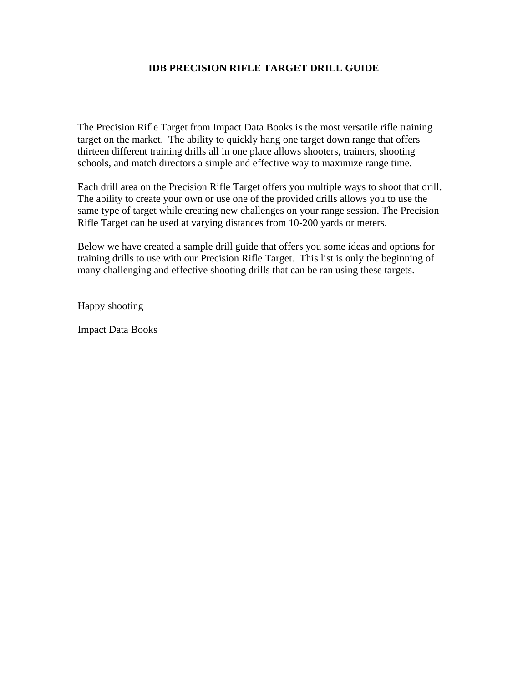#### **IDB PRECISION RIFLE TARGET DRILL GUIDE**

The Precision Rifle Target from Impact Data Books is the most versatile rifle training target on the market. The ability to quickly hang one target down range that offers thirteen different training drills all in one place allows shooters, trainers, shooting schools, and match directors a simple and effective way to maximize range time.

Each drill area on the Precision Rifle Target offers you multiple ways to shoot that drill. The ability to create your own or use one of the provided drills allows you to use the same type of target while creating new challenges on your range session. The Precision Rifle Target can be used at varying distances from 10-200 yards or meters.

Below we have created a sample drill guide that offers you some ideas and options for training drills to use with our Precision Rifle Target. This list is only the beginning of many challenging and effective shooting drills that can be ran using these targets.

Happy shooting

Impact Data Books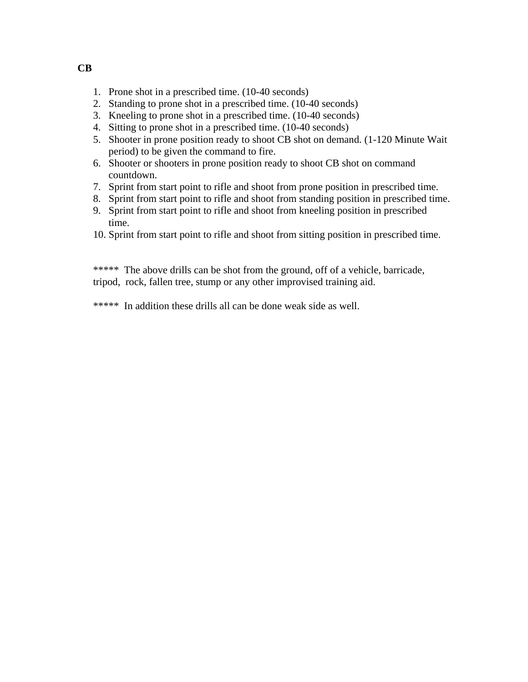- 1. Prone shot in a prescribed time. (10-40 seconds)
- 2. Standing to prone shot in a prescribed time. (10-40 seconds)
- 3. Kneeling to prone shot in a prescribed time. (10-40 seconds)
- 4. Sitting to prone shot in a prescribed time. (10-40 seconds)
- 5. Shooter in prone position ready to shoot CB shot on demand. (1-120 Minute Wait period) to be given the command to fire.
- 6. Shooter or shooters in prone position ready to shoot CB shot on command countdown.
- 7. Sprint from start point to rifle and shoot from prone position in prescribed time.
- 8. Sprint from start point to rifle and shoot from standing position in prescribed time.
- 9. Sprint from start point to rifle and shoot from kneeling position in prescribed time.
- 10. Sprint from start point to rifle and shoot from sitting position in prescribed time.

\*\*\*\*\* The above drills can be shot from the ground, off of a vehicle, barricade, tripod, rock, fallen tree, stump or any other improvised training aid.

\*\*\*\*\* In addition these drills all can be done weak side as well.

**CB**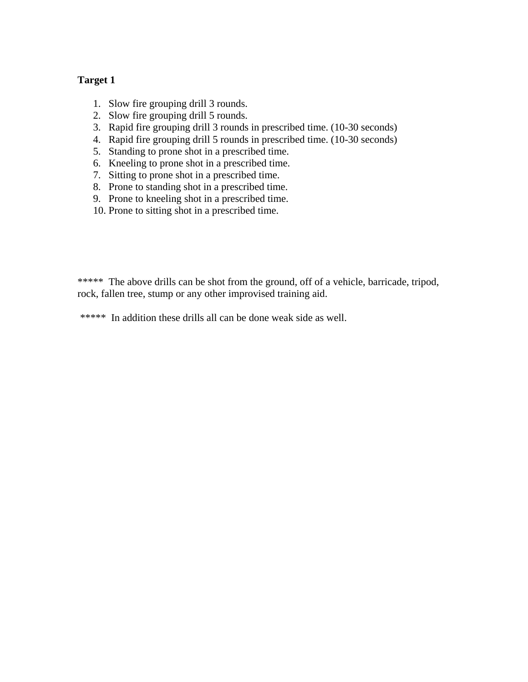- 1. Slow fire grouping drill 3 rounds.
- 2. Slow fire grouping drill 5 rounds.
- 3. Rapid fire grouping drill 3 rounds in prescribed time. (10-30 seconds)
- 4. Rapid fire grouping drill 5 rounds in prescribed time. (10-30 seconds)
- 5. Standing to prone shot in a prescribed time.
- 6. Kneeling to prone shot in a prescribed time.
- 7. Sitting to prone shot in a prescribed time.
- 8. Prone to standing shot in a prescribed time.
- 9. Prone to kneeling shot in a prescribed time.
- 10. Prone to sitting shot in a prescribed time.

\*\*\*\*\* The above drills can be shot from the ground, off of a vehicle, barricade, tripod, rock, fallen tree, stump or any other improvised training aid.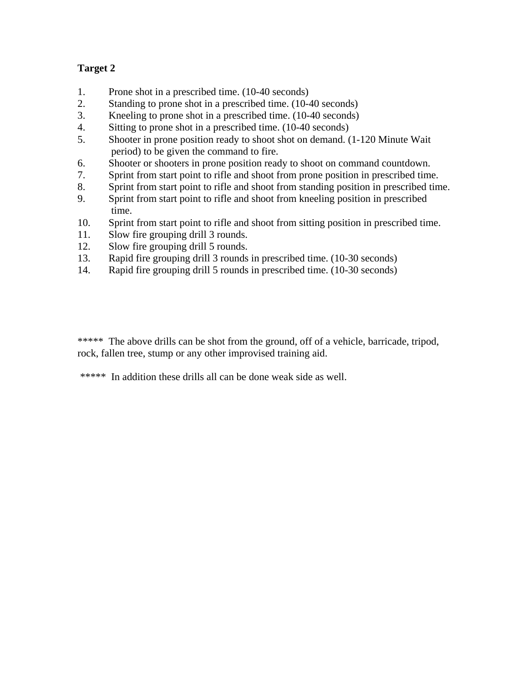- 1. Prone shot in a prescribed time. (10-40 seconds)
- 2. Standing to prone shot in a prescribed time. (10-40 seconds)
- 3. Kneeling to prone shot in a prescribed time. (10-40 seconds)
- 4. Sitting to prone shot in a prescribed time. (10-40 seconds)
- 5. Shooter in prone position ready to shoot shot on demand. (1-120 Minute Wait period) to be given the command to fire.
- 6. Shooter or shooters in prone position ready to shoot on command countdown.
- 7. Sprint from start point to rifle and shoot from prone position in prescribed time.
- 8. Sprint from start point to rifle and shoot from standing position in prescribed time.
- 9. Sprint from start point to rifle and shoot from kneeling position in prescribed time.
- 10. Sprint from start point to rifle and shoot from sitting position in prescribed time.
- 11. Slow fire grouping drill 3 rounds.
- 12. Slow fire grouping drill 5 rounds.
- 13. Rapid fire grouping drill 3 rounds in prescribed time. (10-30 seconds)
- 14. Rapid fire grouping drill 5 rounds in prescribed time. (10-30 seconds)

\*\*\*\*\* The above drills can be shot from the ground, off of a vehicle, barricade, tripod, rock, fallen tree, stump or any other improvised training aid.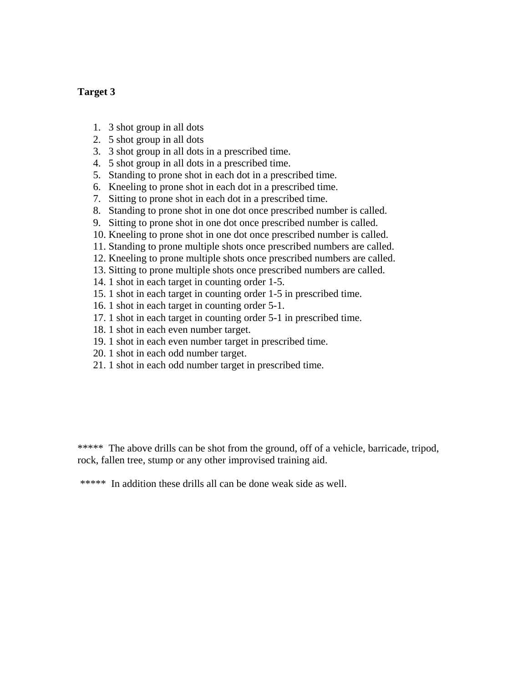- 1. 3 shot group in all dots
- 2. 5 shot group in all dots
- 3. 3 shot group in all dots in a prescribed time.
- 4. 5 shot group in all dots in a prescribed time.
- 5. Standing to prone shot in each dot in a prescribed time.
- 6. Kneeling to prone shot in each dot in a prescribed time.
- 7. Sitting to prone shot in each dot in a prescribed time.
- 8. Standing to prone shot in one dot once prescribed number is called.
- 9. Sitting to prone shot in one dot once prescribed number is called.
- 10. Kneeling to prone shot in one dot once prescribed number is called.
- 11. Standing to prone multiple shots once prescribed numbers are called.
- 12. Kneeling to prone multiple shots once prescribed numbers are called.
- 13. Sitting to prone multiple shots once prescribed numbers are called.
- 14. 1 shot in each target in counting order 1-5.
- 15. 1 shot in each target in counting order 1-5 in prescribed time.
- 16. 1 shot in each target in counting order 5-1.
- 17. 1 shot in each target in counting order 5-1 in prescribed time.
- 18. 1 shot in each even number target.
- 19. 1 shot in each even number target in prescribed time.
- 20. 1 shot in each odd number target.
- 21. 1 shot in each odd number target in prescribed time.

\*\*\*\*\* The above drills can be shot from the ground, off of a vehicle, barricade, tripod, rock, fallen tree, stump or any other improvised training aid.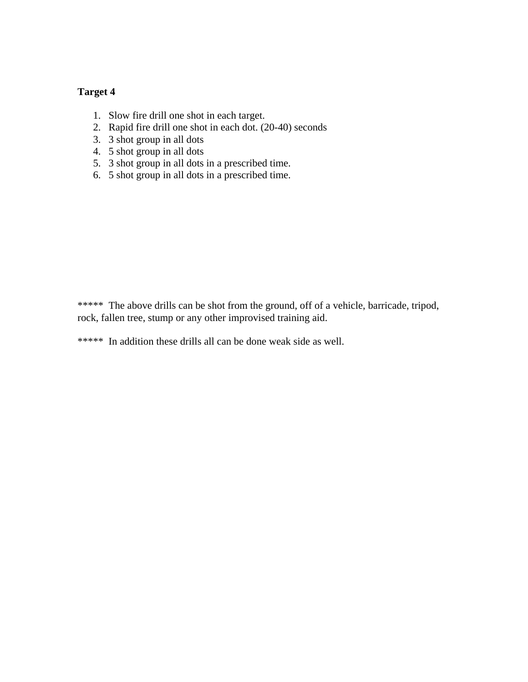- 1. Slow fire drill one shot in each target.
- 2. Rapid fire drill one shot in each dot. (20-40) seconds
- 3. 3 shot group in all dots
- 4. 5 shot group in all dots
- 5. 3 shot group in all dots in a prescribed time.
- 6. 5 shot group in all dots in a prescribed time.

\*\*\*\*\* The above drills can be shot from the ground, off of a vehicle, barricade, tripod, rock, fallen tree, stump or any other improvised training aid.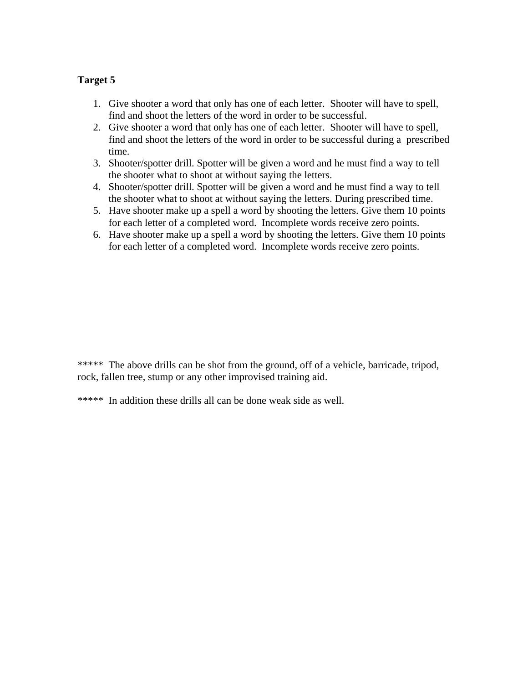- 1. Give shooter a word that only has one of each letter. Shooter will have to spell, find and shoot the letters of the word in order to be successful.
- 2. Give shooter a word that only has one of each letter. Shooter will have to spell, find and shoot the letters of the word in order to be successful during a prescribed time.
- 3. Shooter/spotter drill. Spotter will be given a word and he must find a way to tell the shooter what to shoot at without saying the letters.
- 4. Shooter/spotter drill. Spotter will be given a word and he must find a way to tell the shooter what to shoot at without saying the letters. During prescribed time.
- 5. Have shooter make up a spell a word by shooting the letters. Give them 10 points for each letter of a completed word. Incomplete words receive zero points.
- 6. Have shooter make up a spell a word by shooting the letters. Give them 10 points for each letter of a completed word. Incomplete words receive zero points.

\*\*\*\*\* The above drills can be shot from the ground, off of a vehicle, barricade, tripod, rock, fallen tree, stump or any other improvised training aid.

<sup>\*\*\*\*\*</sup> In addition these drills all can be done weak side as well.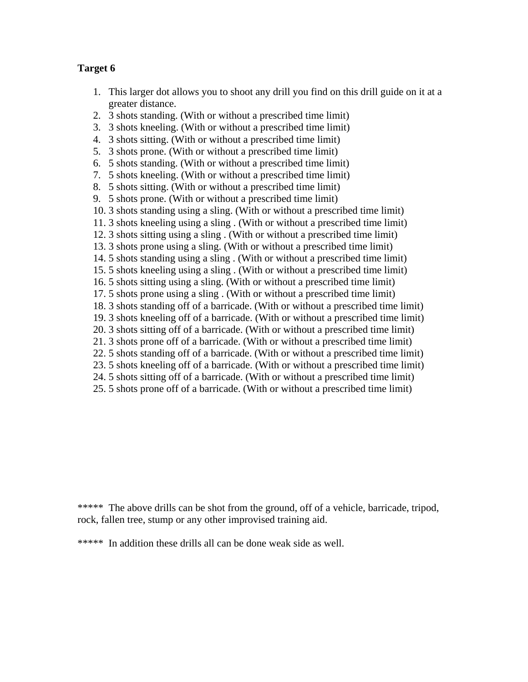- 1. This larger dot allows you to shoot any drill you find on this drill guide on it at a greater distance.
- 2. 3 shots standing. (With or without a prescribed time limit)
- 3. 3 shots kneeling. (With or without a prescribed time limit)
- 4. 3 shots sitting. (With or without a prescribed time limit)
- 5. 3 shots prone. (With or without a prescribed time limit)
- 6. 5 shots standing. (With or without a prescribed time limit)
- 7. 5 shots kneeling. (With or without a prescribed time limit)
- 8. 5 shots sitting. (With or without a prescribed time limit)
- 9. 5 shots prone. (With or without a prescribed time limit)
- 10. 3 shots standing using a sling. (With or without a prescribed time limit)
- 11. 3 shots kneeling using a sling . (With or without a prescribed time limit)
- 12. 3 shots sitting using a sling . (With or without a prescribed time limit)
- 13. 3 shots prone using a sling. (With or without a prescribed time limit)
- 14. 5 shots standing using a sling . (With or without a prescribed time limit)
- 15. 5 shots kneeling using a sling . (With or without a prescribed time limit)
- 16. 5 shots sitting using a sling. (With or without a prescribed time limit)
- 17. 5 shots prone using a sling . (With or without a prescribed time limit)
- 18. 3 shots standing off of a barricade. (With or without a prescribed time limit)
- 19. 3 shots kneeling off of a barricade. (With or without a prescribed time limit)
- 20. 3 shots sitting off of a barricade. (With or without a prescribed time limit)
- 21. 3 shots prone off of a barricade. (With or without a prescribed time limit)
- 22. 5 shots standing off of a barricade. (With or without a prescribed time limit)
- 23. 5 shots kneeling off of a barricade. (With or without a prescribed time limit)
- 24. 5 shots sitting off of a barricade. (With or without a prescribed time limit)
- 25. 5 shots prone off of a barricade. (With or without a prescribed time limit)

\*\*\*\*\* The above drills can be shot from the ground, off of a vehicle, barricade, tripod, rock, fallen tree, stump or any other improvised training aid.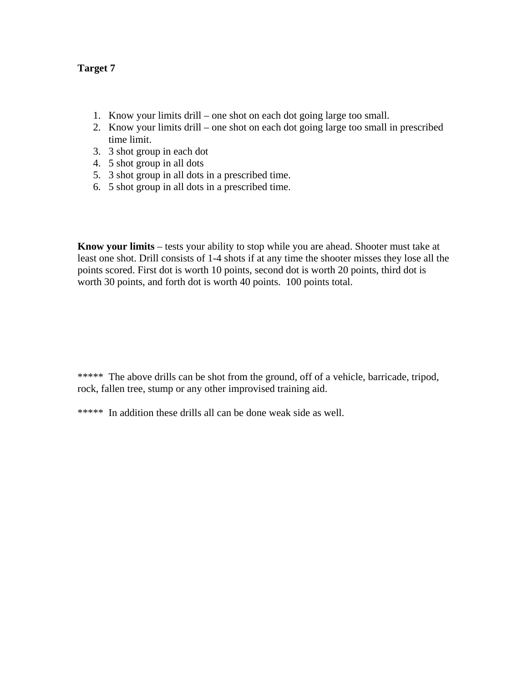- 1. Know your limits drill one shot on each dot going large too small.
- 2. Know your limits drill one shot on each dot going large too small in prescribed time limit.
- 3. 3 shot group in each dot
- 4. 5 shot group in all dots
- 5. 3 shot group in all dots in a prescribed time.
- 6. 5 shot group in all dots in a prescribed time.

**Know your limits** – tests your ability to stop while you are ahead. Shooter must take at least one shot. Drill consists of 1-4 shots if at any time the shooter misses they lose all the points scored. First dot is worth 10 points, second dot is worth 20 points, third dot is worth 30 points, and forth dot is worth 40 points. 100 points total.

\*\*\*\*\* The above drills can be shot from the ground, off of a vehicle, barricade, tripod, rock, fallen tree, stump or any other improvised training aid.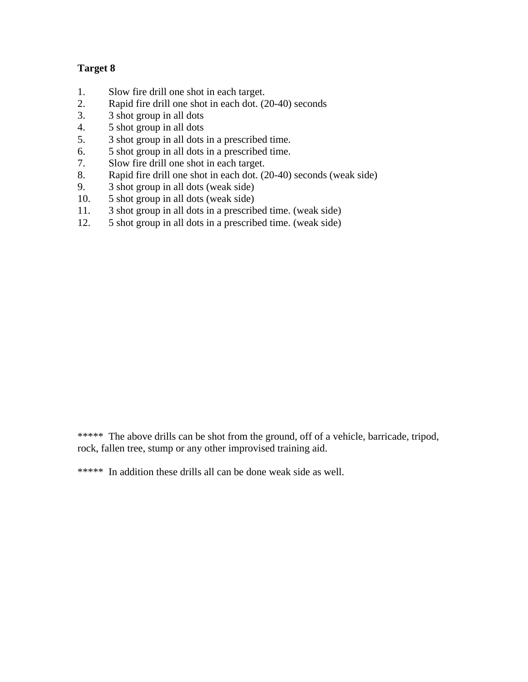- 1. Slow fire drill one shot in each target.
- 2. Rapid fire drill one shot in each dot. (20-40) seconds
- 3. 3 shot group in all dots
- 4. 5 shot group in all dots
- 5. 3 shot group in all dots in a prescribed time.
- 6. 5 shot group in all dots in a prescribed time.
- 7. Slow fire drill one shot in each target.
- 8. Rapid fire drill one shot in each dot. (20-40) seconds (weak side)
- 9. 3 shot group in all dots (weak side)
- 10. 5 shot group in all dots (weak side)
- 11. 3 shot group in all dots in a prescribed time. (weak side)
- 12. 5 shot group in all dots in a prescribed time. (weak side)

\*\*\*\*\* The above drills can be shot from the ground, off of a vehicle, barricade, tripod, rock, fallen tree, stump or any other improvised training aid.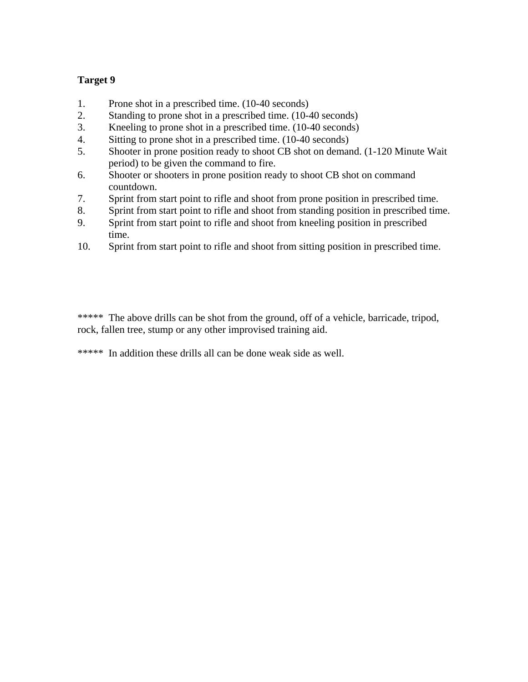- 1. Prone shot in a prescribed time. (10-40 seconds)
- 2. Standing to prone shot in a prescribed time. (10-40 seconds)
- 3. Kneeling to prone shot in a prescribed time. (10-40 seconds)
- 4. Sitting to prone shot in a prescribed time. (10-40 seconds)
- 5. Shooter in prone position ready to shoot CB shot on demand. (1-120 Minute Wait period) to be given the command to fire.
- 6. Shooter or shooters in prone position ready to shoot CB shot on command countdown.
- 7. Sprint from start point to rifle and shoot from prone position in prescribed time.
- 8. Sprint from start point to rifle and shoot from standing position in prescribed time.
- 9. Sprint from start point to rifle and shoot from kneeling position in prescribed time.
- 10. Sprint from start point to rifle and shoot from sitting position in prescribed time.

\*\*\*\*\* The above drills can be shot from the ground, off of a vehicle, barricade, tripod, rock, fallen tree, stump or any other improvised training aid.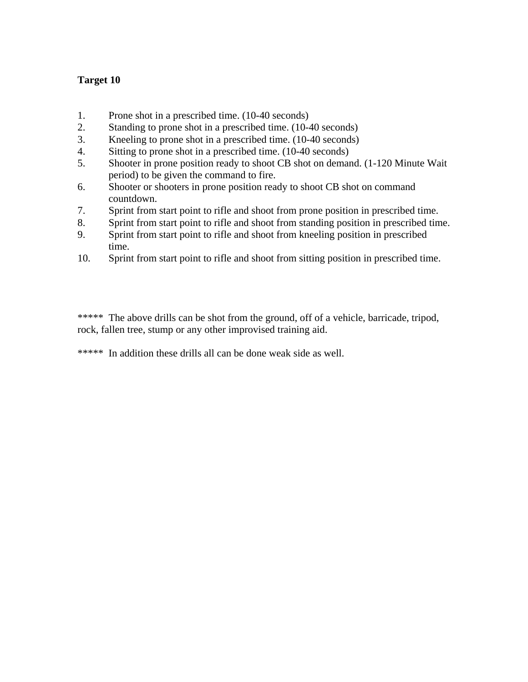- 1. Prone shot in a prescribed time. (10-40 seconds)
- 2. Standing to prone shot in a prescribed time. (10-40 seconds)
- 3. Kneeling to prone shot in a prescribed time. (10-40 seconds)
- 4. Sitting to prone shot in a prescribed time. (10-40 seconds)
- 5. Shooter in prone position ready to shoot CB shot on demand. (1-120 Minute Wait period) to be given the command to fire.
- 6. Shooter or shooters in prone position ready to shoot CB shot on command countdown.
- 7. Sprint from start point to rifle and shoot from prone position in prescribed time.
- 8. Sprint from start point to rifle and shoot from standing position in prescribed time.
- 9. Sprint from start point to rifle and shoot from kneeling position in prescribed time.
- 10. Sprint from start point to rifle and shoot from sitting position in prescribed time.

\*\*\*\*\* The above drills can be shot from the ground, off of a vehicle, barricade, tripod, rock, fallen tree, stump or any other improvised training aid.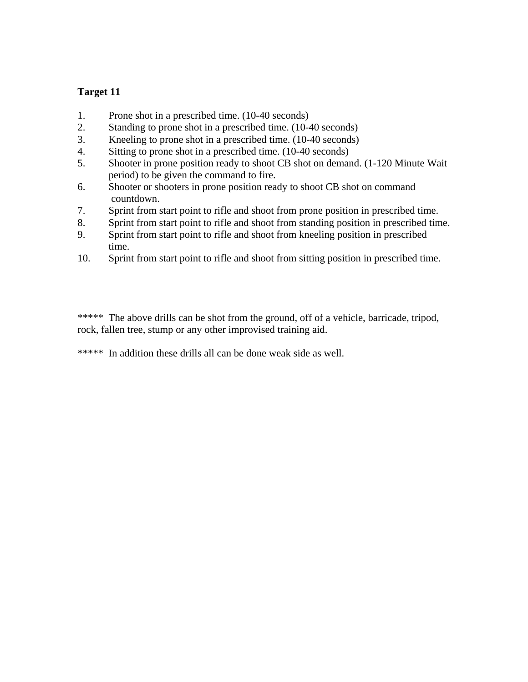- 1. Prone shot in a prescribed time. (10-40 seconds)
- 2. Standing to prone shot in a prescribed time. (10-40 seconds)
- 3. Kneeling to prone shot in a prescribed time. (10-40 seconds)
- 4. Sitting to prone shot in a prescribed time. (10-40 seconds)
- 5. Shooter in prone position ready to shoot CB shot on demand. (1-120 Minute Wait period) to be given the command to fire.
- 6. Shooter or shooters in prone position ready to shoot CB shot on command countdown.
- 7. Sprint from start point to rifle and shoot from prone position in prescribed time.
- 8. Sprint from start point to rifle and shoot from standing position in prescribed time.
- 9. Sprint from start point to rifle and shoot from kneeling position in prescribed time.
- 10. Sprint from start point to rifle and shoot from sitting position in prescribed time.

\*\*\*\*\* The above drills can be shot from the ground, off of a vehicle, barricade, tripod, rock, fallen tree, stump or any other improvised training aid.